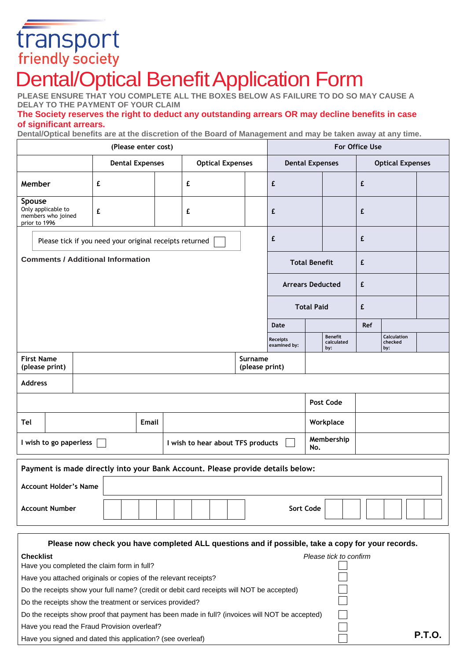# transport<br>friendly society

## Dental/Optical Benefit Application Form

**PLEASE ENSURE THAT YOU COMPLETE ALL THE BOXES BELOW AS FAILURE TO DO SO MAY CAUSE A DELAY TO THE PAYMENT OF YOUR CLAIM**

### **The Society reserves the right to deduct any outstanding arrears OR may decline benefits in case of significant arrears.**

**Dental/Optical benefits are at the discretion of the Board of Management and may be taken away at any time.**

| (Please enter cost)                                                            |       |                        |  |                         | For Office Use    |                           |                                 |  |                                     |                         |                               |  |
|--------------------------------------------------------------------------------|-------|------------------------|--|-------------------------|-------------------|---------------------------|---------------------------------|--|-------------------------------------|-------------------------|-------------------------------|--|
|                                                                                |       | <b>Dental Expenses</b> |  | <b>Optical Expenses</b> |                   |                           | <b>Dental Expenses</b>          |  |                                     | <b>Optical Expenses</b> |                               |  |
| Member                                                                         |       | £                      |  |                         | £                 |                           | £                               |  |                                     | £                       |                               |  |
| Spouse<br>Only applicable to<br>members who joined<br>prior to 1996            |       | £                      |  |                         | £                 |                           | £                               |  |                                     | £                       |                               |  |
| Please tick if you need your original receipts returned                        |       |                        |  |                         |                   | £                         |                                 |  | £                                   |                         |                               |  |
| <b>Comments / Additional Information</b>                                       |       |                        |  |                         |                   |                           | <b>Total Benefit</b>            |  | £                                   |                         |                               |  |
|                                                                                |       |                        |  |                         |                   |                           | <b>Arrears Deducted</b>         |  | £                                   |                         |                               |  |
|                                                                                |       |                        |  |                         |                   |                           | <b>Total Paid</b>               |  | £                                   |                         |                               |  |
|                                                                                |       |                        |  |                         |                   |                           | Date                            |  |                                     | Ref                     |                               |  |
|                                                                                |       |                        |  |                         |                   |                           | <b>Receipts</b><br>examined by: |  | <b>Benefit</b><br>calculated<br>by: |                         | Calculation<br>checked<br>by: |  |
| <b>First Name</b><br>(please print)                                            |       |                        |  |                         |                   | Surname<br>(please print) |                                 |  |                                     |                         |                               |  |
| <b>Address</b>                                                                 |       |                        |  |                         |                   |                           |                                 |  |                                     |                         |                               |  |
|                                                                                |       |                        |  |                         |                   |                           |                                 |  | Post Code                           |                         |                               |  |
| Tel                                                                            | Email |                        |  |                         |                   |                           | Workplace                       |  |                                     |                         |                               |  |
| I wish to go paperless<br>I wish to hear about TFS products                    |       |                        |  |                         | Membership<br>No. |                           |                                 |  |                                     |                         |                               |  |
| Payment is made directly into your Bank Account. Please provide details below: |       |                        |  |                         |                   |                           |                                 |  |                                     |                         |                               |  |
| <b>Account Holder's Name</b>                                                   |       |                        |  |                         |                   |                           |                                 |  |                                     |                         |                               |  |

| Please now check you have completed ALL questions and if possible, take a copy for your records. |                        |  |  |  |
|--------------------------------------------------------------------------------------------------|------------------------|--|--|--|
| <b>Checklist</b>                                                                                 | Please tick to confirm |  |  |  |
| Have you completed the claim form in full?                                                       |                        |  |  |  |
| Have you attached originals or copies of the relevant receipts?                                  |                        |  |  |  |
| Do the receipts show your full name? (credit or debit card receipts will NOT be accepted)        |                        |  |  |  |
| Do the receipts show the treatment or services provided?                                         |                        |  |  |  |
| Do the receipts show proof that payment has been made in full? (invoices will NOT be accepted)   |                        |  |  |  |
| Have you read the Fraud Provision overleaf?                                                      |                        |  |  |  |
| Have you signed and dated this application? (see overleaf)                                       | P.T.O.                 |  |  |  |

**Account Number**  $\begin{array}{|c|c|c|c|c|} \hline \end{array}$   $\begin{array}{|c|c|c|c|c|} \hline \end{array}$  Sort Code